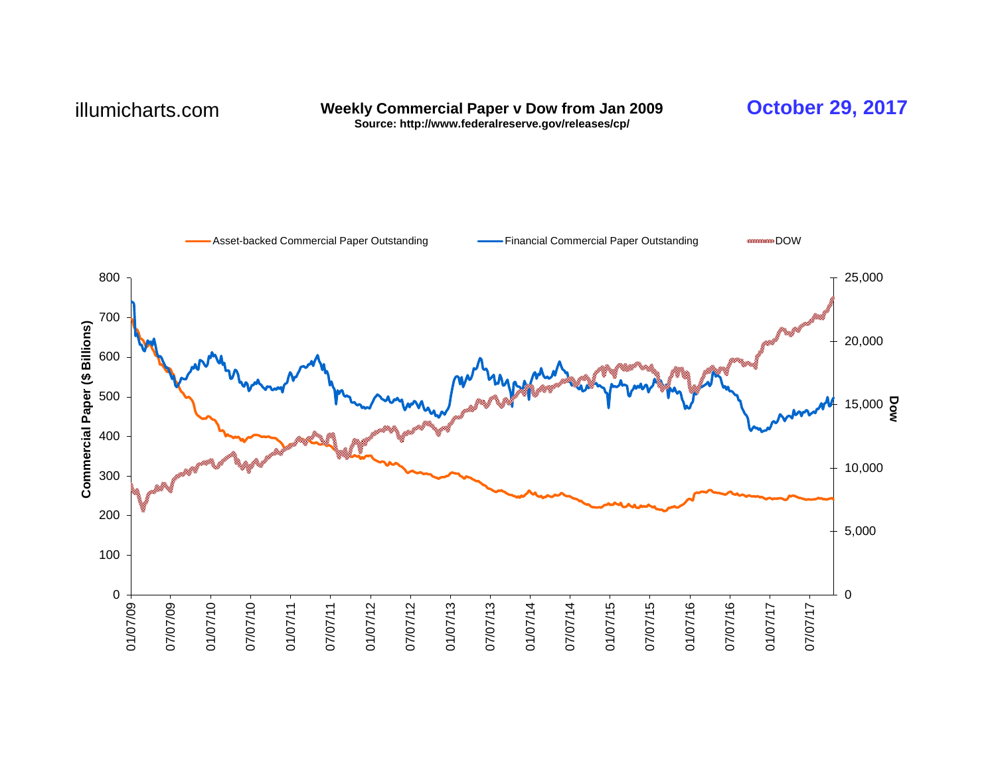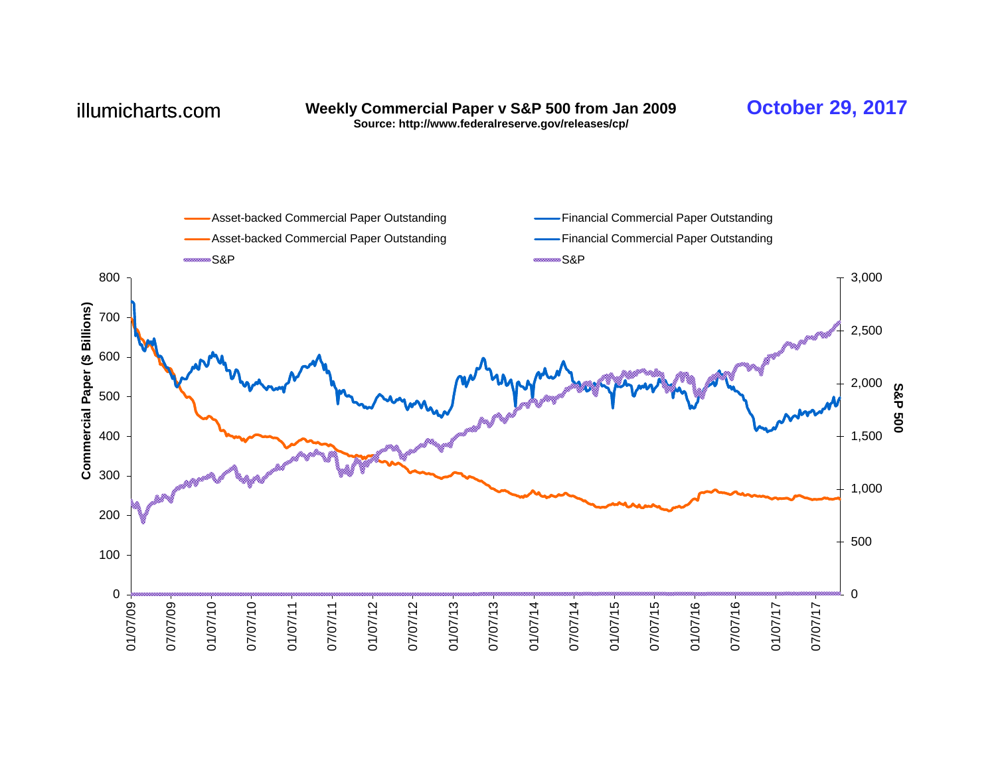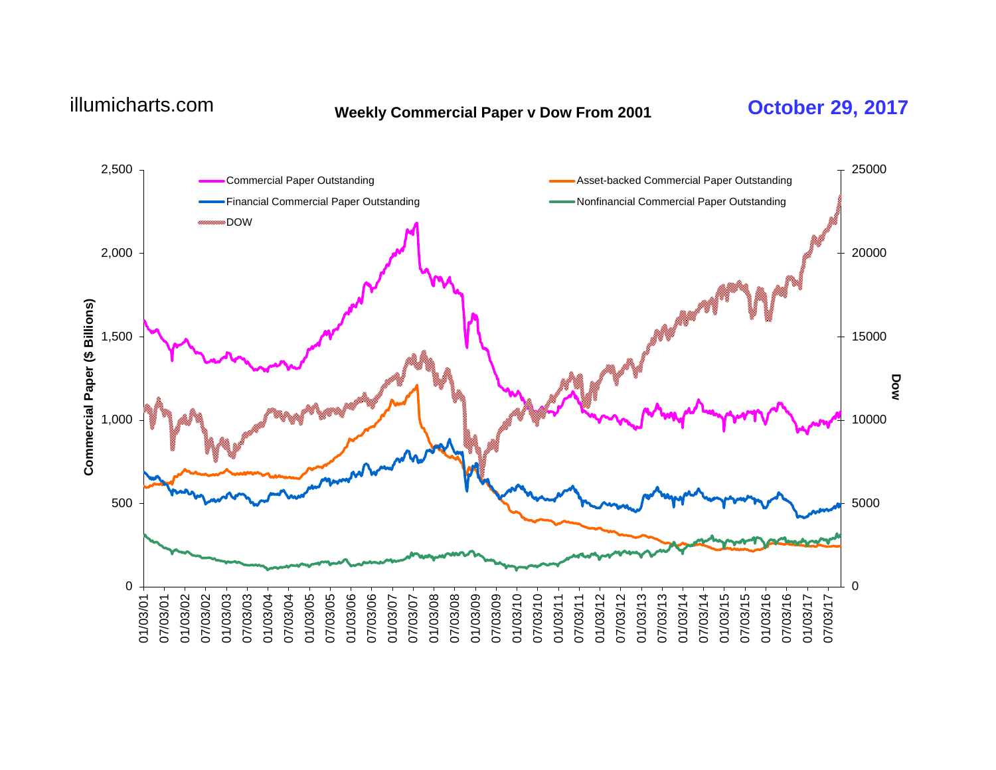# **Weekly Commercial Paper v Dow From 2001** illumicharts.com **October 29, 2017**

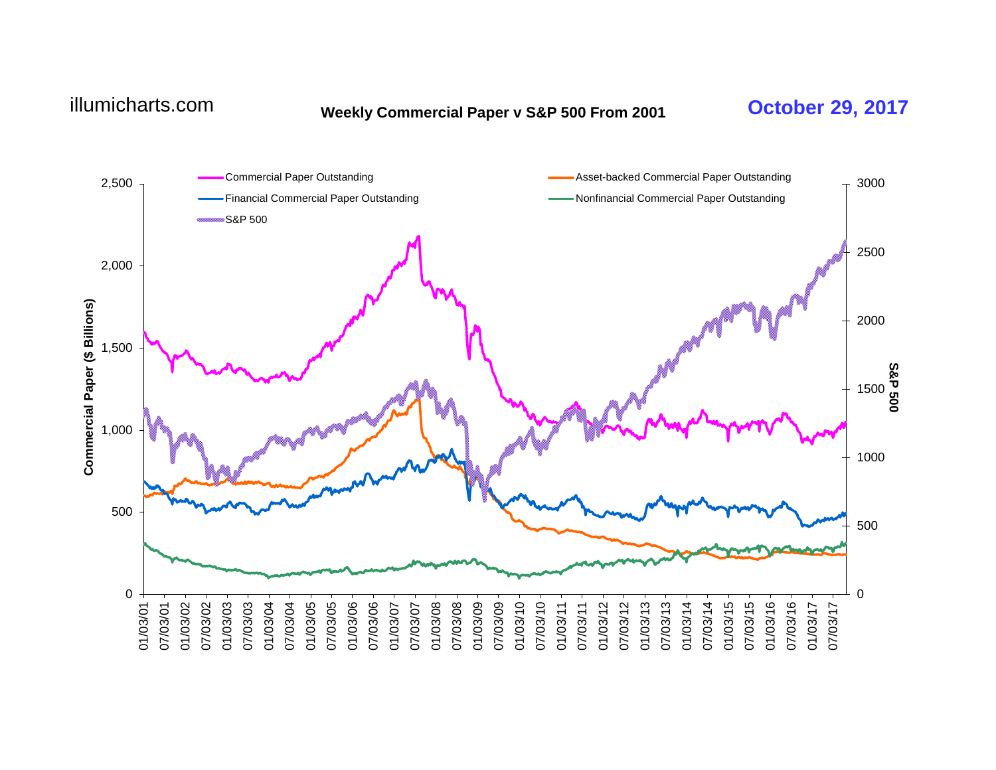# **Weekly Commercial Paper v S&P 500 From 2001** illumicharts.com **October 29, 2017**